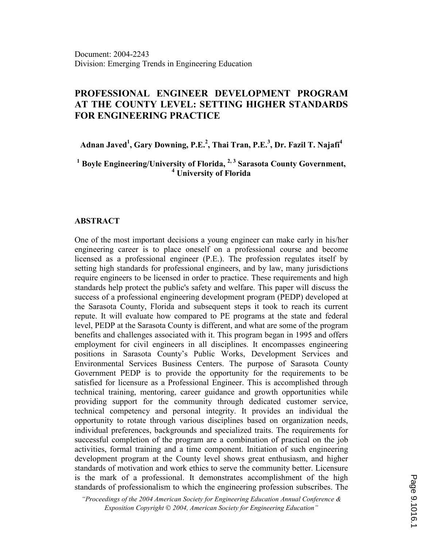# PROFESSIONAL ENGINEER DEVELOPMENT PROGRAM AT THE COUNTY LEVEL: SETTING HIGHER STANDARDS FOR ENGINEERING PRACTICE

Adnan Javed<sup>1</sup>, Gary Downing, P.E.<sup>2</sup>, Thai Tran, P.E.<sup>3</sup>, Dr. Fazil T. Najafi<sup>4</sup>

<sup>1</sup> Boyle Engineering/University of Florida, <sup>2, 3</sup> Sarasota County Government, 4 University of Florida

#### ABSTRACT

One of the most important decisions a young engineer can make early in his/her engineering career is to place oneself on a professional course and become licensed as a professional engineer (P.E.). The profession regulates itself by setting high standards for professional engineers, and by law, many jurisdictions require engineers to be licensed in order to practice. These requirements and high standards help protect the public's safety and welfare. This paper will discuss the success of a professional engineering development program (PEDP) developed at the Sarasota County, Florida and subsequent steps it took to reach its current repute. It will evaluate how compared to PE programs at the state and federal level, PEDP at the Sarasota County is different, and what are some of the program benefits and challenges associated with it. This program began in 1995 and offers employment for civil engineers in all disciplines. It encompasses engineering positions in Sarasota County's Public Works, Development Services and Environmental Services Business Centers. The purpose of Sarasota County Government PEDP is to provide the opportunity for the requirements to be satisfied for licensure as a Professional Engineer. This is accomplished through technical training, mentoring, career guidance and growth opportunities while providing support for the community through dedicated customer service, technical competency and personal integrity. It provides an individual the opportunity to rotate through various disciplines based on organization needs, individual preferences, backgrounds and specialized traits. The requirements for successful completion of the program are a combination of practical on the job activities, formal training and a time component. Initiation of such engineering development program at the County level shows great enthusiasm, and higher standards of motivation and work ethics to serve the community better. Licensure is the mark of a professional. It demonstrates accomplishment of the high standards of professionalism to which the engineering profession subscribes. The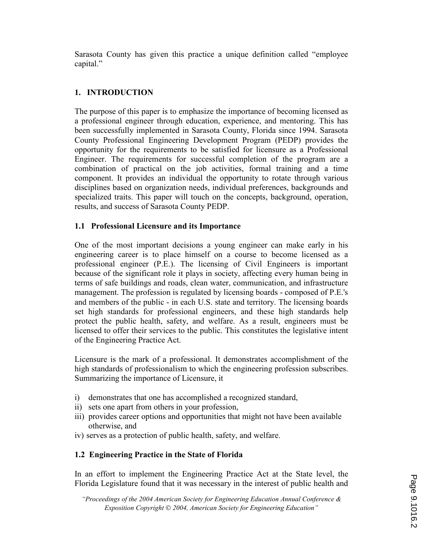Sarasota County has given this practice a unique definition called "employee capital."

## 1. INTRODUCTION

The purpose of this paper is to emphasize the importance of becoming licensed as a professional engineer through education, experience, and mentoring. This has been successfully implemented in Sarasota County, Florida since 1994. Sarasota County Professional Engineering Development Program (PEDP) provides the opportunity for the requirements to be satisfied for licensure as a Professional Engineer. The requirements for successful completion of the program are a combination of practical on the job activities, formal training and a time component. It provides an individual the opportunity to rotate through various disciplines based on organization needs, individual preferences, backgrounds and specialized traits. This paper will touch on the concepts, background, operation, results, and success of Sarasota County PEDP.

### 1.1 Professional Licensure and its Importance

One of the most important decisions a young engineer can make early in his engineering career is to place himself on a course to become licensed as a professional engineer (P.E.). The licensing of Civil Engineers is important because of the significant role it plays in society, affecting every human being in terms of safe buildings and roads, clean water, communication, and infrastructure management. The profession is regulated by licensing boards - composed of P.E.'s and members of the public - in each U.S. state and territory. The licensing boards set high standards for professional engineers, and these high standards help protect the public health, safety, and welfare. As a result, engineers must be licensed to offer their services to the public. This constitutes the legislative intent of the Engineering Practice Act.

Licensure is the mark of a professional. It demonstrates accomplishment of the high standards of professionalism to which the engineering profession subscribes. Summarizing the importance of Licensure, it

- i) demonstrates that one has accomplished a recognized standard,
- ii) sets one apart from others in your profession,
- iii) provides career options and opportunities that might not have been available otherwise, and
- iv) serves as a protection of public health, safety, and welfare.

## 1.2 Engineering Practice in the State of Florida

In an effort to implement the Engineering Practice Act at the State level, the Florida Legislature found that it was necessary in the interest of public health and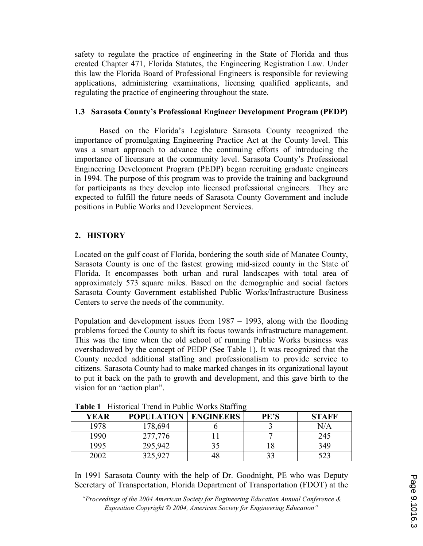safety to regulate the practice of engineering in the State of Florida and thus created Chapter 471, Florida Statutes, the Engineering Registration Law. Under this law the Florida Board of Professional Engineers is responsible for reviewing applications, administering examinations, licensing qualified applicants, and regulating the practice of engineering throughout the state.

### 1.3 Sarasota County's Professional Engineer Development Program (PEDP)

Based on the Florida's Legislature Sarasota County recognized the importance of promulgating Engineering Practice Act at the County level. This was a smart approach to advance the continuing efforts of introducing the importance of licensure at the community level. Sarasota County's Professional Engineering Development Program (PEDP) began recruiting graduate engineers in 1994. The purpose of this program was to provide the training and background for participants as they develop into licensed professional engineers. They are expected to fulfill the future needs of Sarasota County Government and include positions in Public Works and Development Services.

## 2. HISTORY

Located on the gulf coast of Florida, bordering the south side of Manatee County, Sarasota County is one of the fastest growing mid-sized county in the State of Florida. It encompasses both urban and rural landscapes with total area of approximately 573 square miles. Based on the demographic and social factors Sarasota County Government established Public Works/Infrastructure Business Centers to serve the needs of the community.

Population and development issues from 1987 – 1993, along with the flooding problems forced the County to shift its focus towards infrastructure management. This was the time when the old school of running Public Works business was overshadowed by the concept of PEDP (See Table 1). It was recognized that the County needed additional staffing and professionalism to provide service to citizens. Sarasota County had to make marked changes in its organizational layout to put it back on the path to growth and development, and this gave birth to the vision for an "action plan".

| <b>YEAR</b> | <b>POPULATION</b> | <b>ENGINEERS</b> | <b>PE'S</b> | <b>STAFF</b> |
|-------------|-------------------|------------------|-------------|--------------|
| 1978        | 178,694           |                  |             | $\rm N/A$    |
| 1990        | 277,776           |                  |             | 245          |
| 1995        | 295,942           | 35               |             | 349          |
| 2002        | 325,927           | 48               |             | 523          |

Table 1 Historical Trend in Public Works Staffing

In 1991 Sarasota County with the help of Dr. Goodnight, PE who was Deputy Secretary of Transportation, Florida Department of Transportation (FDOT) at the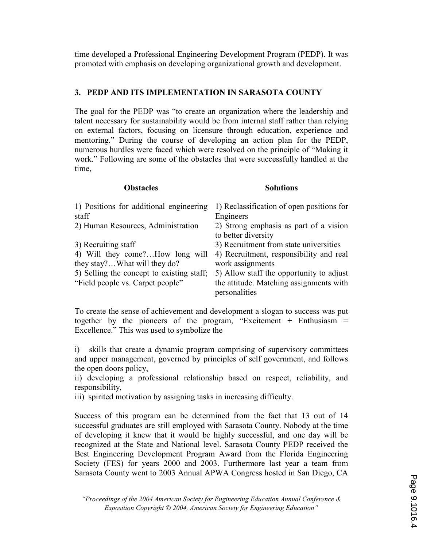time developed a Professional Engineering Development Program (PEDP). It was promoted with emphasis on developing organizational growth and development.

#### 3. PEDP AND ITS IMPLEMENTATION IN SARASOTA COUNTY

The goal for the PEDP was "to create an organization where the leadership and talent necessary for sustainability would be from internal staff rather than relying on external factors, focusing on licensure through education, experience and mentoring." During the course of developing an action plan for the PEDP, numerous hurdles were faced which were resolved on the principle of "Making it work." Following are some of the obstacles that were successfully handled at the time,

#### Obstacles Solutions

| 1) Positions for additional engineering<br>staff                                                                                                                        | 1) Reclassification of open positions for<br>Engineers                                                                                                                                                        |
|-------------------------------------------------------------------------------------------------------------------------------------------------------------------------|---------------------------------------------------------------------------------------------------------------------------------------------------------------------------------------------------------------|
| 2) Human Resources, Administration                                                                                                                                      | 2) Strong emphasis as part of a vision<br>to better diversity                                                                                                                                                 |
| 3) Recruiting staff<br>4) Will they come?How long will<br>they stay?What will they do?<br>5) Selling the concept to existing staff;<br>"Field people vs. Carpet people" | 3) Recruitment from state universities<br>4) Recruitment, responsibility and real<br>work assignments<br>5) Allow staff the opportunity to adjust<br>the attitude. Matching assignments with<br>personalities |
|                                                                                                                                                                         |                                                                                                                                                                                                               |

To create the sense of achievement and development a slogan to success was put together by the pioneers of the program, "Excitement  $+$  Enthusiasm  $=$ Excellence." This was used to symbolize the

i) skills that create a dynamic program comprising of supervisory committees and upper management, governed by principles of self government, and follows the open doors policy,

ii) developing a professional relationship based on respect, reliability, and responsibility,

iii) spirited motivation by assigning tasks in increasing difficulty.

Success of this program can be determined from the fact that 13 out of 14 successful graduates are still employed with Sarasota County. Nobody at the time of developing it knew that it would be highly successful, and one day will be recognized at the State and National level. Sarasota County PEDP received the Best Engineering Development Program Award from the Florida Engineering Society (FES) for years 2000 and 2003. Furthermore last year a team from Sarasota County went to 2003 Annual APWA Congress hosted in San Diego, CA

<sup>&</sup>quot;Proceedings of the 2004 American Society for Engineering Education Annual Conference & Exposition Copyright  $\odot$  2004, American Society for Engineering Education"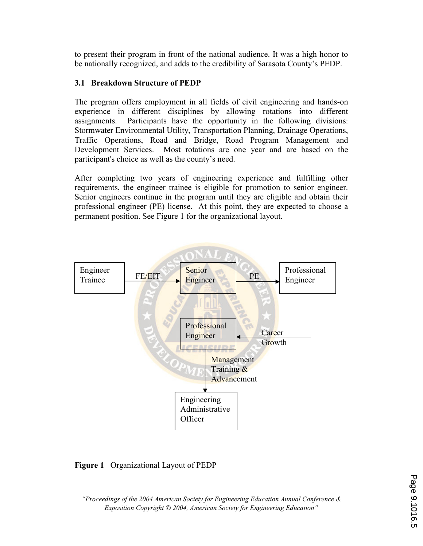to present their program in front of the national audience. It was a high honor to be nationally recognized, and adds to the credibility of Sarasota County's PEDP.

#### 3.1 Breakdown Structure of PEDP

The program offers employment in all fields of civil engineering and hands-on experience in different disciplines by allowing rotations into different assignments. Participants have the opportunity in the following divisions: Stormwater Environmental Utility, Transportation Planning, Drainage Operations, Traffic Operations, Road and Bridge, Road Program Management and Development Services. Most rotations are one year and are based on the participant's choice as well as the county's need.

After completing two years of engineering experience and fulfilling other requirements, the engineer trainee is eligible for promotion to senior engineer. Senior engineers continue in the program until they are eligible and obtain their professional engineer (PE) license. At this point, they are expected to choose a permanent position. See Figure 1 for the organizational layout.



### Figure 1 Organizational Layout of PEDP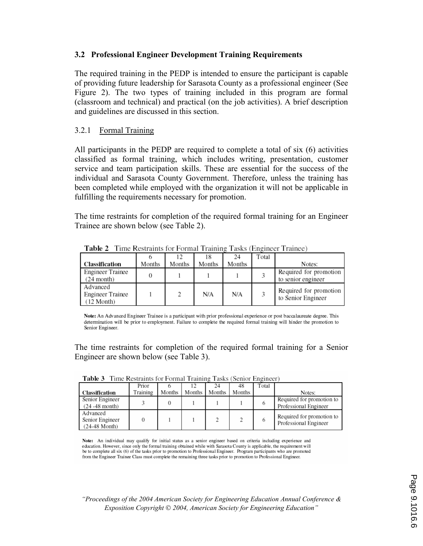#### 3.2 Professional Engineer Development Training Requirements

The required training in the PEDP is intended to ensure the participant is capable of providing future leadership for Sarasota County as a professional engineer (See Figure 2). The two types of training included in this program are formal (classroom and technical) and practical (on the job activities). A brief description and guidelines are discussed in this section.

### 3.2.1 Formal Training

All participants in the PEDP are required to complete a total of six (6) activities classified as formal training, which includes writing, presentation, customer service and team participation skills. These are essential for the success of the individual and Sarasota County Government. Therefore, unless the training has been completed while employed with the organization it will not be applicable in fulfilling the requirements necessary for promotion.

The time restraints for completion of the required formal training for an Engineer Trainee are shown below (see Table 2).

|                                            |        | 12     | 18     | 24     | Total |                                              |
|--------------------------------------------|--------|--------|--------|--------|-------|----------------------------------------------|
| Classification                             | Months | Months | Months | Months |       | Notes:                                       |
| Engineer Trainee<br>$(24$ month)           |        |        |        |        |       | Required for promotion<br>to senior engineer |
| Advanced<br>Engineer Trainee<br>(12 Month) |        | 2      | N/A    | N/A    |       | Required for promotion<br>to Senior Engineer |

**Table 2** Time Restraints for Formal Training Tasks (Engineer Trainee)

Note: An Advanced Engineer Trainee is a participant with prior professional experience or post baccalaureate degree. This determination will be prior to employment. Failure to complete the required formal training will hinder the promotion to Senior Engineer.

The time restraints for completion of the required formal training for a Senior Engineer are shown below (see Table 3).

| тане э<br>THE RESULTED FOLLOWED TRIBBER LASKS (SCHOL EIGHICCL) |          |        |          |        |        |       |                                                    |
|----------------------------------------------------------------|----------|--------|----------|--------|--------|-------|----------------------------------------------------|
|                                                                | Prior    |        |          | 24     | 48     | Total |                                                    |
| Classification                                                 | Training | Months | Months 1 | Months | Months |       | Notes:                                             |
| Senior Engineer<br>$(24 - 48$ month)                           |          |        |          |        |        | o     | Required for promotion to<br>Professional Engineer |
| Advanced<br>Senior Engineer<br>$(24-48 \text{ Month})$         |          |        |          |        |        | 6     | Required for promotion to<br>Professional Engineer |

Toble 2 Time Bostroints for Earmal Training Tasks (Soniar Engineer)

Note: An individual may qualify for initial status as a senior engineer based on criteria including experience and education. However, since only the formal training obtained while with Sarasota County is applicable, the requirement will be to complete all six (6) of the tasks prior to promotion to Professional Engineer. Program participants who are promoted from the Engineer Trainee Class must complete the remaining three tasks prior to promotion to Professional Engineer.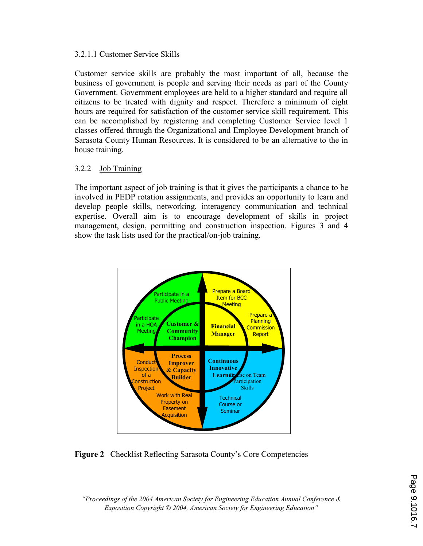#### 3.2.1.1 Customer Service Skills

Customer service skills are probably the most important of all, because the business of government is people and serving their needs as part of the County Government. Government employees are held to a higher standard and require all citizens to be treated with dignity and respect. Therefore a minimum of eight hours are required for satisfaction of the customer service skill requirement. This can be accomplished by registering and completing Customer Service level 1 classes offered through the Organizational and Employee Development branch of Sarasota County Human Resources. It is considered to be an alternative to the in house training.

### 3.2.2 Job Training

The important aspect of job training is that it gives the participants a chance to be involved in PEDP rotation assignments, and provides an opportunity to learn and develop people skills, networking, interagency communication and technical expertise. Overall aim is to encourage development of skills in project management, design, permitting and construction inspection. Figures 3 and 4 show the task lists used for the practical/on-job training.



### Figure 2 Checklist Reflecting Sarasota County's Core Competencies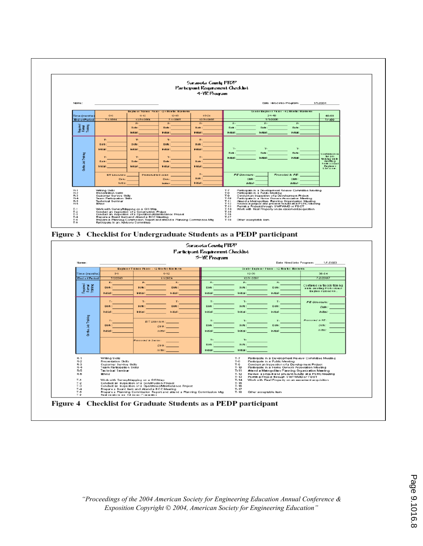

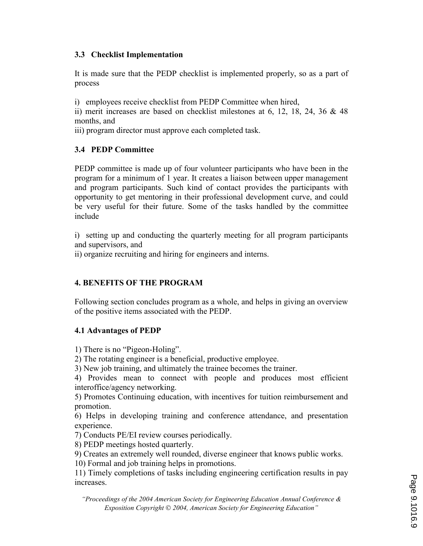### 3.3 Checklist Implementation

It is made sure that the PEDP checklist is implemented properly, so as a part of process

i) employees receive checklist from PEDP Committee when hired,

ii) merit increases are based on checklist milestones at 6, 12, 18, 24, 36 & 48 months, and

iii) program director must approve each completed task.

## 3.4 PEDP Committee

PEDP committee is made up of four volunteer participants who have been in the program for a minimum of 1 year. It creates a liaison between upper management and program participants. Such kind of contact provides the participants with opportunity to get mentoring in their professional development curve, and could be very useful for their future. Some of the tasks handled by the committee include

i) setting up and conducting the quarterly meeting for all program participants and supervisors, and

ii) organize recruiting and hiring for engineers and interns.

## 4. BENEFITS OF THE PROGRAM

Following section concludes program as a whole, and helps in giving an overview of the positive items associated with the PEDP.

## 4.1 Advantages of PEDP

1) There is no "Pigeon-Holing".

2) The rotating engineer is a beneficial, productive employee.

3) New job training, and ultimately the trainee becomes the trainer.

4) Provides mean to connect with people and produces most efficient interoffice/agency networking.

5) Promotes Continuing education, with incentives for tuition reimbursement and promotion.

6) Helps in developing training and conference attendance, and presentation experience.

7) Conducts PE/EI review courses periodically.

8) PEDP meetings hosted quarterly.

9) Creates an extremely well rounded, diverse engineer that knows public works.

10) Formal and job training helps in promotions.

11) Timely completions of tasks including engineering certification results in pay increases.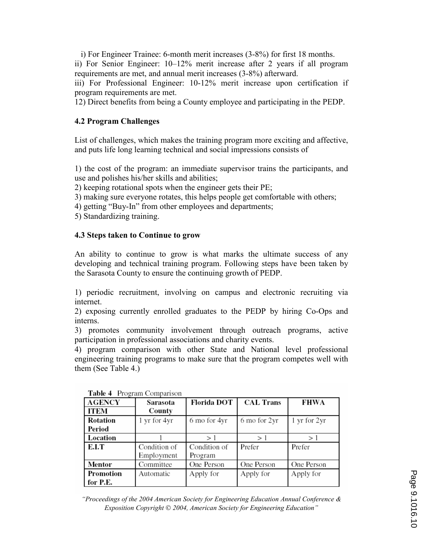i) For Engineer Trainee: 6-month merit increases (3-8%) for first 18 months.

ii) For Senior Engineer: 10–12% merit increase after 2 years if all program requirements are met, and annual merit increases (3-8%) afterward.

iii) For Professional Engineer: 10-12% merit increase upon certification if program requirements are met.

12) Direct benefits from being a County employee and participating in the PEDP.

### 4.2 Program Challenges

List of challenges, which makes the training program more exciting and affective, and puts life long learning technical and social impressions consists of

1) the cost of the program: an immediate supervisor trains the participants, and use and polishes his/her skills and abilities;

2) keeping rotational spots when the engineer gets their PE;

3) making sure everyone rotates, this helps people get comfortable with others;

4) getting "Buy-In" from other employees and departments;

5) Standardizing training.

### 4.3 Steps taken to Continue to grow

An ability to continue to grow is what marks the ultimate success of any developing and technical training program. Following steps have been taken by the Sarasota County to ensure the continuing growth of PEDP.

1) periodic recruitment, involving on campus and electronic recruiting via internet.

2) exposing currently enrolled graduates to the PEDP by hiring Co-Ops and interns.

3) promotes community involvement through outreach programs, active participation in professional associations and charity events.

4) program comparison with other State and National level professional engineering training programs to make sure that the program competes well with them (See Table 4.)

| <b>AGENCY</b>   | Sarasota     | <b>Florida DOT</b> | <b>CAL Trans</b> | FHWA         |
|-----------------|--------------|--------------------|------------------|--------------|
| <b>ITEM</b>     | County       |                    |                  |              |
| <b>Rotation</b> | 1 yr for 4yr | 6 mo for 4yr       | 6 mo for 2yr     | 1 yr for 2yr |
| Period          |              |                    |                  |              |
| Location        |              | >1                 | >1               | >1           |
| E.I.T           | Condition of | Condition of       | Prefer           | Prefer       |
|                 | Employment   | Program            |                  |              |
| Mentor          | Committee    | One Person         | One Person       | One Person   |
| Promotion       | Automatic    | Apply for          | Apply for        | Apply for    |
| for P.E.        |              |                    |                  |              |

Table 4 Program Comparison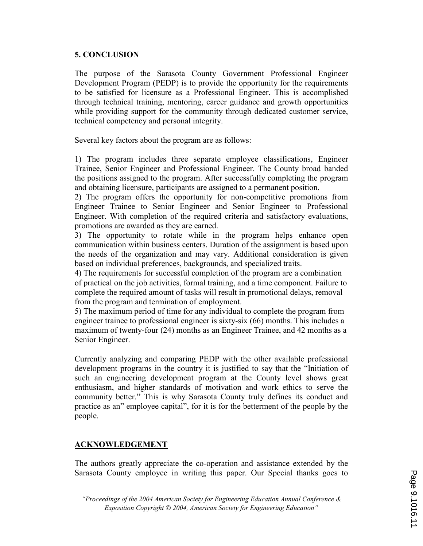### 5. CONCLUSION

The purpose of the Sarasota County Government Professional Engineer Development Program (PEDP) is to provide the opportunity for the requirements to be satisfied for licensure as a Professional Engineer. This is accomplished through technical training, mentoring, career guidance and growth opportunities while providing support for the community through dedicated customer service, technical competency and personal integrity.

Several key factors about the program are as follows:

1) The program includes three separate employee classifications, Engineer Trainee, Senior Engineer and Professional Engineer. The County broad banded the positions assigned to the program. After successfully completing the program and obtaining licensure, participants are assigned to a permanent position.

2) The program offers the opportunity for non-competitive promotions from Engineer Trainee to Senior Engineer and Senior Engineer to Professional Engineer. With completion of the required criteria and satisfactory evaluations, promotions are awarded as they are earned.

3) The opportunity to rotate while in the program helps enhance open communication within business centers. Duration of the assignment is based upon the needs of the organization and may vary. Additional consideration is given based on individual preferences, backgrounds, and specialized traits.

4) The requirements for successful completion of the program are a combination of practical on the job activities, formal training, and a time component. Failure to complete the required amount of tasks will result in promotional delays, removal from the program and termination of employment.

5) The maximum period of time for any individual to complete the program from engineer trainee to professional engineer is sixty-six (66) months. This includes a maximum of twenty-four (24) months as an Engineer Trainee, and 42 months as a Senior Engineer.

Currently analyzing and comparing PEDP with the other available professional development programs in the country it is justified to say that the "Initiation of such an engineering development program at the County level shows great enthusiasm, and higher standards of motivation and work ethics to serve the community better." This is why Sarasota County truly defines its conduct and practice as an" employee capital", for it is for the betterment of the people by the people.

### ACKNOWLEDGEMENT

The authors greatly appreciate the co-operation and assistance extended by the Sarasota County employee in writing this paper. Our Special thanks goes to

<sup>&</sup>quot;Proceedings of the 2004 American Society for Engineering Education Annual Conference & Exposition Copyright  $\odot$  2004, American Society for Engineering Education"